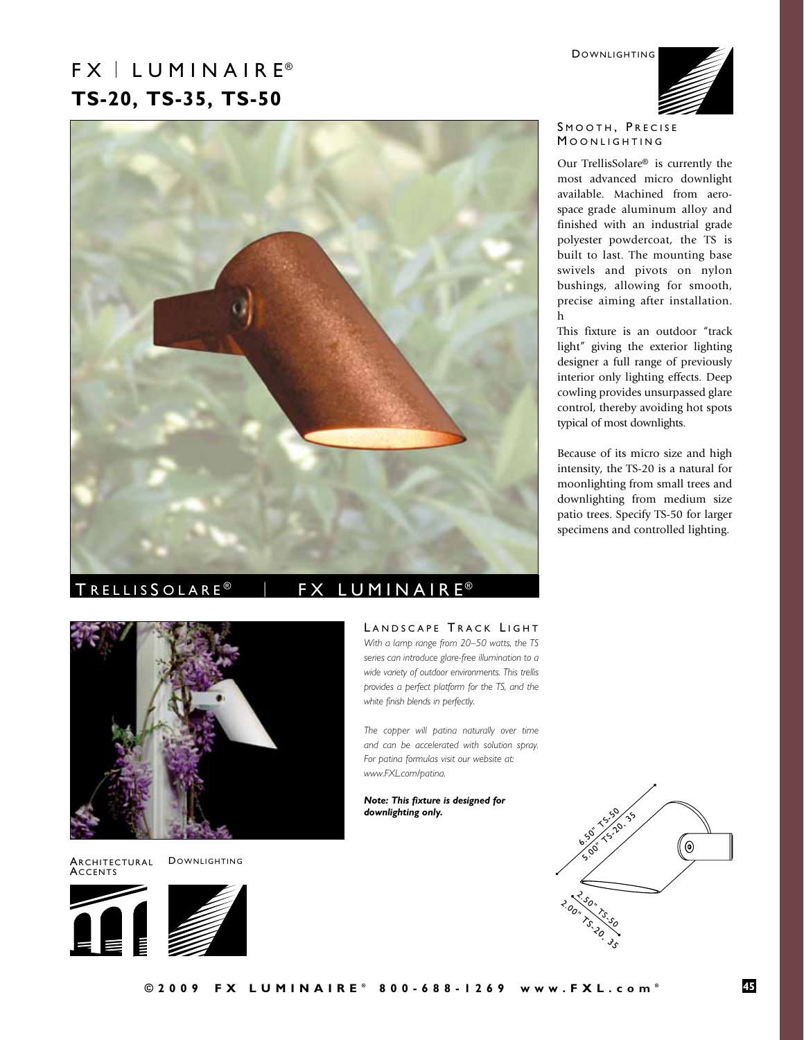DOWNLIGHTING

# $FX \perp LUMIN AIR E<sup>®</sup>$ **TS-20, TS-35, TS-50**



# TRELLISSOLARE<sup>®</sup> | FX LUMINAIRE<sup>®</sup>



Architectural **ACCENTS** 

DOWNLIGHTING





# LANDSCAPE TRACK LIGHT

*With a lamp range from 20–50 watts, the TS series can introduce glare-free illumination to a wide variety of outdoor environments. This trellis provides a perfect platform for the TS, and the white finish blends in perfectly.*

*The copper will patina naturally over time and can be accelerated with solution spray. For patina formulas visit our website at: www.FXL.com/patina.* 

*Note: This fixture is designed for downlighting only.*



### SMOOTH, PRECISE MOONLIGHTING

Our TrellisSolare® is currently the most advanced micro downlight available. Machined from aerospace grade aluminum alloy and finished with an industrial grade polyester powdercoat, the TS is built to last. The mounting base swivels and pivots on nylon bushings, allowing for smooth, precise aiming after installation. h

This fixture is an outdoor "track light" giving the exterior lighting designer a full range of previously interior only lighting effects. Deep cowling provides unsurpassed glare control, thereby avoiding hot spots typical of most downlights.

Because of its micro size and high intensity, the TS-20 is a natural for moonlighting from small trees and downlighting from medium size patio trees. Specify TS-50 for larger specimens and controlled lighting.